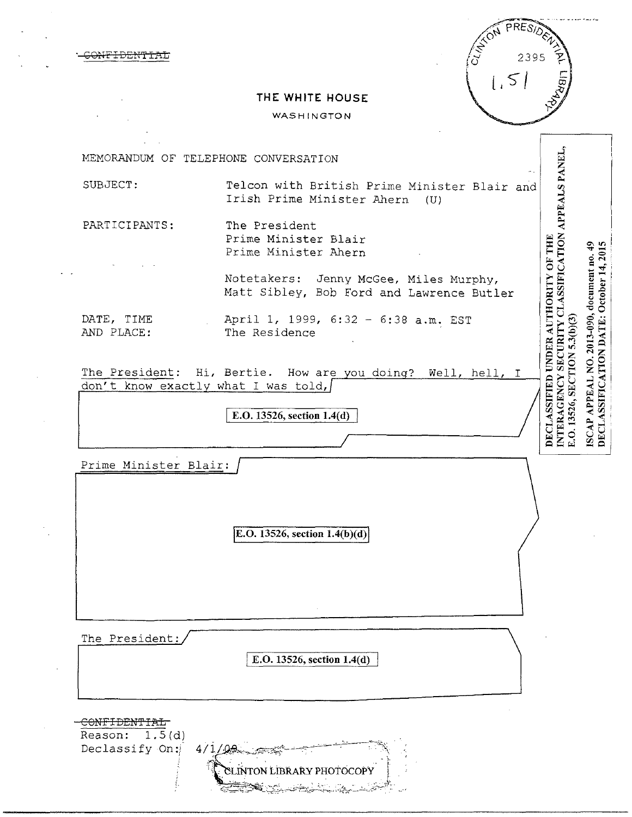· W<del>FIDENTIAL</del>  $1.51$ **THE WHITE HOUSE**  WASHINGTON NTERAGENCY SECURITY CLASSIFICATION APPEALS PANEL, MEMORANDUM OF TELEPHONE CONVERSATION SUBJECT: Telcon with British Prime Minister Blair and Irish Prime Minister Ahern (U) PARTICIPANTS: The President Prime Minister Blair DECLASSIFIED UNDER AUTHORITY OF THE ISCAP APPEAL NO. 2013-090, document no. 49 DECLASSIFICATION DATE: October 14, 2015 Prime Minister Ahern Notetakers: Jenny McGee, Miles Murphy, Matt Sibley, Bob Ford and Lawrence Butler E.O. 13526, SECTION 5.3(b)(3) DATE, TIME April 1, 1999, 6:32 - 6:38 a.m. EST<br>AND PLACE: The Residence The Residence The President: Hi, Bertie. How are you doing? Well, hell, I don't know exactly what I was told, E.O. 13526, section 1.4(d) Prime Minister Blair: **E.O. 13526, section 1.4(b)(d)** The President: I **E.O. 13526, section 1.4(d)**  CONFIDEM'l'IAL  $Reson: 1.5(d)$ Declassify On  $4/1/99 - 755$ 

> INTON LIBRARY PHOTOCOPY <u>ي المريح المستوجد المسير</u>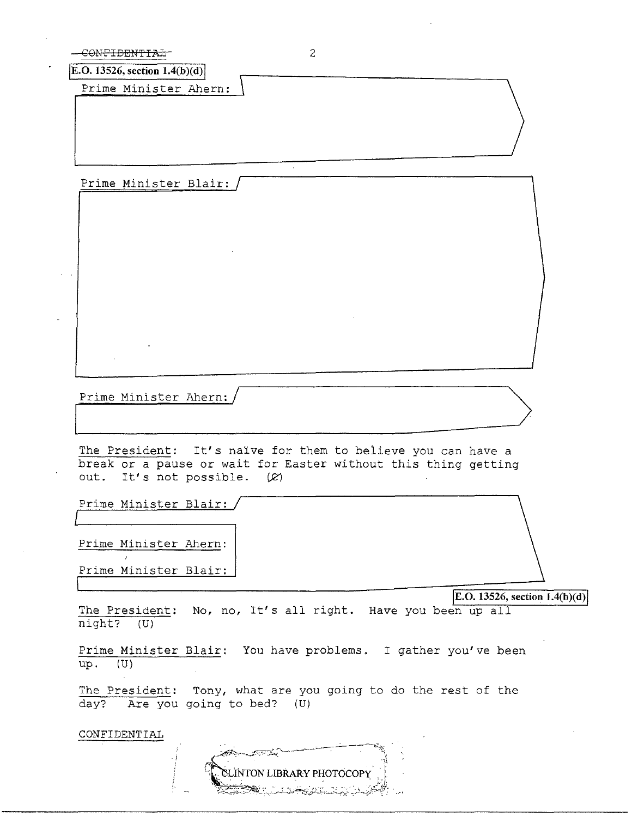| <b>E.O.</b> 13526, section $1.4(b)(d)$                                                                                                                                                                                                                                                                                                                                                              |  |                                 |
|-----------------------------------------------------------------------------------------------------------------------------------------------------------------------------------------------------------------------------------------------------------------------------------------------------------------------------------------------------------------------------------------------------|--|---------------------------------|
| Prime Minister Ahern:                                                                                                                                                                                                                                                                                                                                                                               |  |                                 |
|                                                                                                                                                                                                                                                                                                                                                                                                     |  |                                 |
|                                                                                                                                                                                                                                                                                                                                                                                                     |  |                                 |
|                                                                                                                                                                                                                                                                                                                                                                                                     |  |                                 |
|                                                                                                                                                                                                                                                                                                                                                                                                     |  |                                 |
|                                                                                                                                                                                                                                                                                                                                                                                                     |  |                                 |
| Prime Minister Blair: /                                                                                                                                                                                                                                                                                                                                                                             |  |                                 |
|                                                                                                                                                                                                                                                                                                                                                                                                     |  |                                 |
|                                                                                                                                                                                                                                                                                                                                                                                                     |  |                                 |
|                                                                                                                                                                                                                                                                                                                                                                                                     |  |                                 |
|                                                                                                                                                                                                                                                                                                                                                                                                     |  |                                 |
|                                                                                                                                                                                                                                                                                                                                                                                                     |  |                                 |
|                                                                                                                                                                                                                                                                                                                                                                                                     |  |                                 |
|                                                                                                                                                                                                                                                                                                                                                                                                     |  |                                 |
|                                                                                                                                                                                                                                                                                                                                                                                                     |  |                                 |
|                                                                                                                                                                                                                                                                                                                                                                                                     |  |                                 |
|                                                                                                                                                                                                                                                                                                                                                                                                     |  |                                 |
|                                                                                                                                                                                                                                                                                                                                                                                                     |  |                                 |
|                                                                                                                                                                                                                                                                                                                                                                                                     |  |                                 |
|                                                                                                                                                                                                                                                                                                                                                                                                     |  |                                 |
| Prime Minister Ahern:                                                                                                                                                                                                                                                                                                                                                                               |  |                                 |
|                                                                                                                                                                                                                                                                                                                                                                                                     |  |                                 |
|                                                                                                                                                                                                                                                                                                                                                                                                     |  |                                 |
|                                                                                                                                                                                                                                                                                                                                                                                                     |  |                                 |
|                                                                                                                                                                                                                                                                                                                                                                                                     |  |                                 |
|                                                                                                                                                                                                                                                                                                                                                                                                     |  |                                 |
|                                                                                                                                                                                                                                                                                                                                                                                                     |  |                                 |
|                                                                                                                                                                                                                                                                                                                                                                                                     |  |                                 |
|                                                                                                                                                                                                                                                                                                                                                                                                     |  |                                 |
|                                                                                                                                                                                                                                                                                                                                                                                                     |  |                                 |
|                                                                                                                                                                                                                                                                                                                                                                                                     |  |                                 |
|                                                                                                                                                                                                                                                                                                                                                                                                     |  |                                 |
|                                                                                                                                                                                                                                                                                                                                                                                                     |  |                                 |
|                                                                                                                                                                                                                                                                                                                                                                                                     |  |                                 |
|                                                                                                                                                                                                                                                                                                                                                                                                     |  | E.O. 13526, section $1.4(b)(d)$ |
|                                                                                                                                                                                                                                                                                                                                                                                                     |  |                                 |
|                                                                                                                                                                                                                                                                                                                                                                                                     |  |                                 |
|                                                                                                                                                                                                                                                                                                                                                                                                     |  |                                 |
|                                                                                                                                                                                                                                                                                                                                                                                                     |  |                                 |
| The President: It's naïve for them to believe you can have a<br>break or a pause or wait for Easter without this thing getting<br>out. It's not possible. (2)<br>Prime Minister Blair:<br>Prime Minister Ahern:<br>Prime Minister Blair:<br>The President: No, no, It's all right. Have you been up all<br>night? (U)<br>Prime Minister Blair: You have problems. I gather you've been<br>$up.$ (U) |  |                                 |
|                                                                                                                                                                                                                                                                                                                                                                                                     |  |                                 |
|                                                                                                                                                                                                                                                                                                                                                                                                     |  |                                 |
| The President: Tony, what are you going to do the rest of the<br>day? Are you going to bed? (U)                                                                                                                                                                                                                                                                                                     |  |                                 |
| CONFIDENTIAL                                                                                                                                                                                                                                                                                                                                                                                        |  |                                 |
|                                                                                                                                                                                                                                                                                                                                                                                                     |  |                                 |

 $\label{eq:2.1} \frac{1}{2} \sum_{i=1}^n \frac{1}{2} \sum_{j=1}^n \frac{1}{2} \sum_{j=1}^n \frac{1}{2} \sum_{j=1}^n \frac{1}{2} \sum_{j=1}^n \frac{1}{2} \sum_{j=1}^n \frac{1}{2} \sum_{j=1}^n \frac{1}{2} \sum_{j=1}^n \frac{1}{2} \sum_{j=1}^n \frac{1}{2} \sum_{j=1}^n \frac{1}{2} \sum_{j=1}^n \frac{1}{2} \sum_{j=1}^n \frac{1}{2} \sum_{j=1}^n \frac{$ 

 $\sim 10^{-10}$